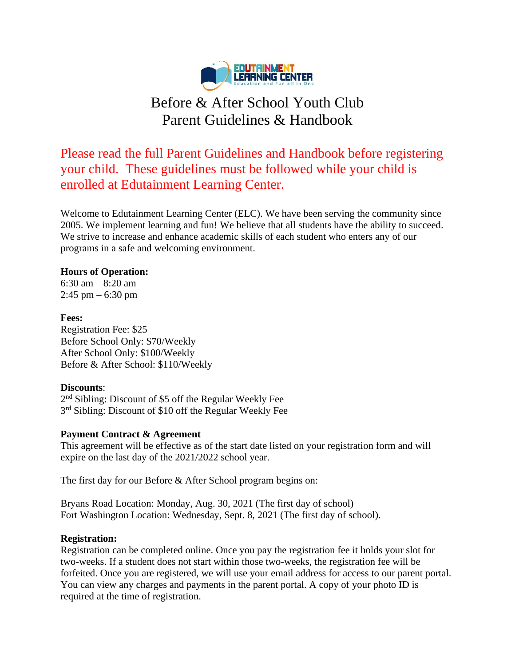

# Before & After School Youth Club Parent Guidelines & Handbook

Please read the full Parent Guidelines and Handbook before registering your child. These guidelines must be followed while your child is enrolled at Edutainment Learning Center.

Welcome to Edutainment Learning Center (ELC). We have been serving the community since 2005. We implement learning and fun! We believe that all students have the ability to succeed. We strive to increase and enhance academic skills of each student who enters any of our programs in a safe and welcoming environment.

## **Hours of Operation:**

6:30 am – 8:20 am  $2:45 \text{ pm} - 6:30 \text{ pm}$ 

## **Fees:**

Registration Fee: \$25 Before School Only: \$70/Weekly After School Only: \$100/Weekly Before & After School: \$110/Weekly

## **Discounts**:

2<sup>nd</sup> Sibling: Discount of \$5 off the Regular Weekly Fee 3<sup>rd</sup> Sibling: Discount of \$10 off the Regular Weekly Fee

## **Payment Contract & Agreement**

This agreement will be effective as of the start date listed on your registration form and will expire on the last day of the 2021/2022 school year.

The first day for our Before & After School program begins on:

Bryans Road Location: Monday, Aug. 30, 2021 (The first day of school) Fort Washington Location: Wednesday, Sept. 8, 2021 (The first day of school).

## **Registration:**

Registration can be completed online. Once you pay the registration fee it holds your slot for two-weeks. If a student does not start within those two-weeks, the registration fee will be forfeited. Once you are registered, we will use your email address for access to our parent portal. You can view any charges and payments in the parent portal. A copy of your photo ID is required at the time of registration.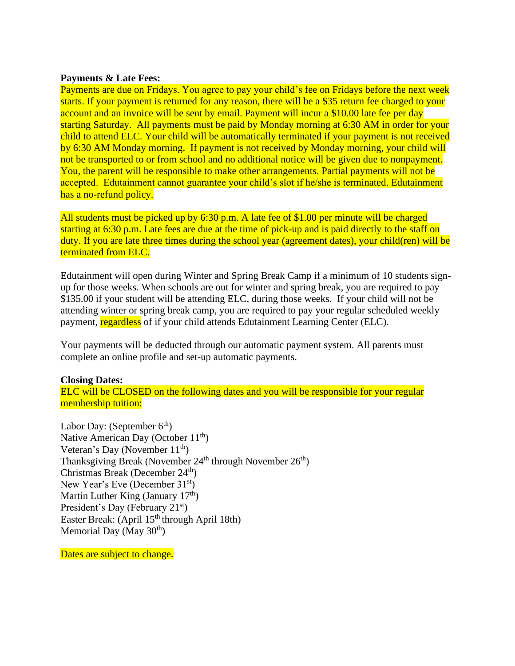#### **Payments & Late Fees:**

Payments are due on Fridays. You agree to pay your child's fee on Fridays before the next week starts. If your payment is returned for any reason, there will be a \$35 return fee charged to your account and an invoice will be sent by email. Payment will incur a \$10.00 late fee per day starting Saturday. All payments must be paid by Monday morning at 6:30 AM in order for your child to attend ELC. Your child will be automatically terminated if your payment is not received by 6:30 AM Monday morning. If payment is not received by Monday morning, your child will not be transported to or from school and no additional notice will be given due to nonpayment. You, the parent will be responsible to make other arrangements. Partial payments will not be accepted. Edutainment cannot guarantee your child's slot if he/she is terminated. Edutainment has a no-refund policy.

All students must be picked up by 6:30 p.m. A late fee of \$1.00 per minute will be charged starting at 6:30 p.m. Late fees are due at the time of pick-up and is paid directly to the staff on duty. If you are late three times during the school year (agreement dates), your child(ren) will be terminated from ELC.

Edutainment will open during Winter and Spring Break Camp if a minimum of 10 students signup for those weeks. When schools are out for winter and spring break, you are required to pay \$135.00 if your student will be attending ELC, during those weeks. If your child will not be attending winter or spring break camp, you are required to pay your regular scheduled weekly payment, regardless of if your child attends Edutainment Learning Center (ELC).

Your payments will be deducted through our automatic payment system. All parents must complete an online profile and set-up automatic payments.

#### **Closing Dates:**

ELC will be CLOSED on the following dates and you will be responsible for your regular membership tuition:

Labor Day: (September  $6<sup>th</sup>$ ) Native American Day (October  $11<sup>th</sup>$ ) Veteran's Day (November  $11<sup>th</sup>$ ) Thanksgiving Break (November 24<sup>th</sup> through November 26<sup>th</sup>) Christmas Break (December 24<sup>th</sup>) New Year's Eve (December 31<sup>st</sup>) Martin Luther King (January  $17<sup>th</sup>$ ) President's Day (February 21<sup>st</sup>) Easter Break: (April 15<sup>th</sup> through April 18th) Memorial Day (May  $30<sup>th</sup>$ )

Dates are subject to change.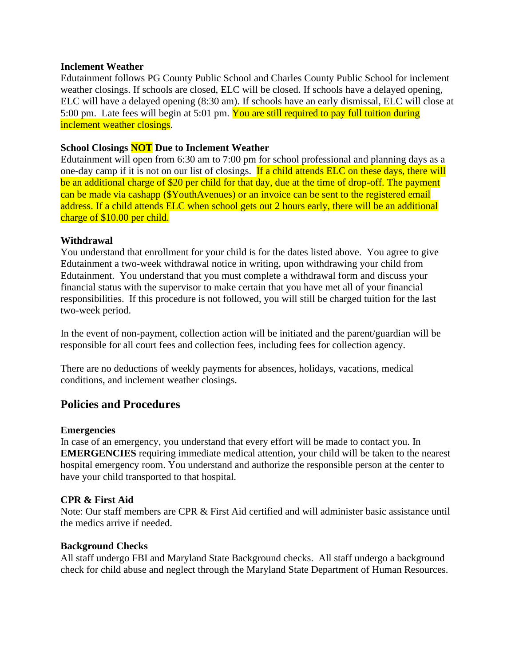#### **Inclement Weather**

Edutainment follows PG County Public School and Charles County Public School for inclement weather closings. If schools are closed, ELC will be closed. If schools have a delayed opening, ELC will have a delayed opening (8:30 am). If schools have an early dismissal, ELC will close at 5:00 pm. Late fees will begin at 5:01 pm. You are still required to pay full tuition during inclement weather closings.

## **School Closings NOT Due to Inclement Weather**

Edutainment will open from 6:30 am to 7:00 pm for school professional and planning days as a one-day camp if it is not on our list of closings. If a child attends ELC on these days, there will be an additional charge of \$20 per child for that day, due at the time of drop-off. The payment can be made via cashapp (\$YouthAvenues) or an invoice can be sent to the registered email address. If a child attends ELC when school gets out 2 hours early, there will be an additional charge of \$10.00 per child.

#### **Withdrawal**

You understand that enrollment for your child is for the dates listed above. You agree to give Edutainment a two-week withdrawal notice in writing, upon withdrawing your child from Edutainment. You understand that you must complete a withdrawal form and discuss your financial status with the supervisor to make certain that you have met all of your financial responsibilities. If this procedure is not followed, you will still be charged tuition for the last two-week period.

In the event of non-payment, collection action will be initiated and the parent/guardian will be responsible for all court fees and collection fees, including fees for collection agency.

There are no deductions of weekly payments for absences, holidays, vacations, medical conditions, and inclement weather closings.

## **Policies and Procedures**

#### **Emergencies**

In case of an emergency, you understand that every effort will be made to contact you. In **EMERGENCIES** requiring immediate medical attention, your child will be taken to the nearest hospital emergency room. You understand and authorize the responsible person at the center to have your child transported to that hospital.

#### **CPR & First Aid**

Note: Our staff members are CPR & First Aid certified and will administer basic assistance until the medics arrive if needed.

#### **Background Checks**

All staff undergo FBI and Maryland State Background checks. All staff undergo a background check for child abuse and neglect through the Maryland State Department of Human Resources.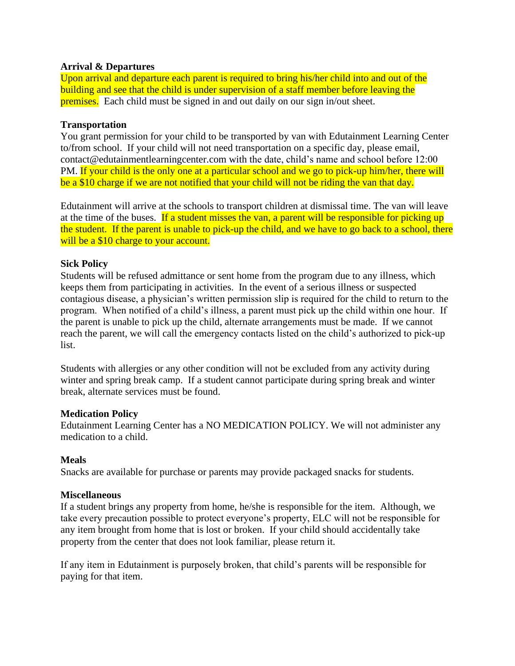## **Arrival & Departures**

Upon arrival and departure each parent is required to bring his/her child into and out of the building and see that the child is under supervision of a staff member before leaving the premises. Each child must be signed in and out daily on our sign in/out sheet.

#### **Transportation**

You grant permission for your child to be transported by van with Edutainment Learning Center to/from school. If your child will not need transportation on a specific day, please email, contact@edutainmentlearningcenter.com with the date, child's name and school before 12:00 PM. If your child is the only one at a particular school and we go to pick-up him/her, there will be a \$10 charge if we are not notified that your child will not be riding the van that day.

Edutainment will arrive at the schools to transport children at dismissal time. The van will leave at the time of the buses. If a student misses the van, a parent will be responsible for picking up the student. If the parent is unable to pick-up the child, and we have to go back to a school, there will be a \$10 charge to your account.

## **Sick Policy**

Students will be refused admittance or sent home from the program due to any illness, which keeps them from participating in activities. In the event of a serious illness or suspected contagious disease, a physician's written permission slip is required for the child to return to the program. When notified of a child's illness, a parent must pick up the child within one hour. If the parent is unable to pick up the child, alternate arrangements must be made. If we cannot reach the parent, we will call the emergency contacts listed on the child's authorized to pick-up list.

Students with allergies or any other condition will not be excluded from any activity during winter and spring break camp. If a student cannot participate during spring break and winter break, alternate services must be found.

#### **Medication Policy**

Edutainment Learning Center has a NO MEDICATION POLICY. We will not administer any medication to a child.

## **Meals**

Snacks are available for purchase or parents may provide packaged snacks for students.

#### **Miscellaneous**

If a student brings any property from home, he/she is responsible for the item. Although, we take every precaution possible to protect everyone's property, ELC will not be responsible for any item brought from home that is lost or broken. If your child should accidentally take property from the center that does not look familiar, please return it.

If any item in Edutainment is purposely broken, that child's parents will be responsible for paying for that item.